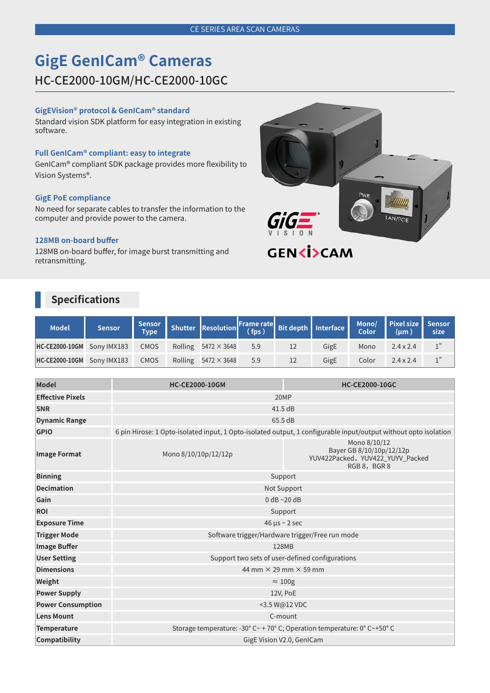# **GigE GenICam® Cameras**

# HC-CE2000-10GM/HC-CE2000-10GC

#### **GigEVision® protocol & GenICam® standard**

Standard vision SDK platform for easy integration in existing software.

#### **Full GenICam® compliant: easy to integrate**

GenICam® compliant SDK package provides more flexibility to Vision Systems®.

#### **GigE PoE compliance**

No need for separate cables to transfer the information to the computer and provide power to the camera.

#### **128MB on-board buffer**

128MB on-board buffer, for image burst transmitting and retransmitting.

# **Specifications**

| <b>Model</b>                      | <b>Sensor</b> |             | Sensor Shutter Resolution Frame rate Bit depth Interface Mono/ Pixel size Sensor |     |      |       |                  |  |
|-----------------------------------|---------------|-------------|----------------------------------------------------------------------------------|-----|------|-------|------------------|--|
| <b>HC-CE2000-10GM</b> Sony IMX183 |               | <b>CMOS</b> | Rolling $5472 \times 3648$ 5.9                                                   |     | GigE | Mono  | $2.4 \times 2.4$ |  |
| HC-CE2000-10GM Sony IMX183        |               | <b>CMOS</b> | Rolling $5472 \times 3648$                                                       | 5.9 | GigE | Color | $2.4 \times 2.4$ |  |

| <b>Model</b>             | <b>HC-CE2000-10GM</b>                                                                                           | <b>HC-CE2000-10GC</b>                                                                      |  |  |  |  |
|--------------------------|-----------------------------------------------------------------------------------------------------------------|--------------------------------------------------------------------------------------------|--|--|--|--|
| <b>Effective Pixels</b>  | 20MP                                                                                                            |                                                                                            |  |  |  |  |
| <b>SNR</b>               | 41.5 dB                                                                                                         |                                                                                            |  |  |  |  |
| <b>Dynamic Range</b>     | 65.5 dB                                                                                                         |                                                                                            |  |  |  |  |
| <b>GPIO</b>              | 6 pin Hirose: 1 Opto-isolated input, 1 Opto-isolated output, 1 configurable input/output without opto isolation |                                                                                            |  |  |  |  |
| <b>Image Format</b>      | Mono 8/10/10p/12/12p                                                                                            | Mono 8/10/12<br>Bayer GB 8/10/10p/12/12p<br>YUV422Packed, YUV422_YUYV_Packed<br>RGB8, BGR8 |  |  |  |  |
| <b>Binning</b>           | Support                                                                                                         |                                                                                            |  |  |  |  |
| <b>Decimation</b>        | Not Support                                                                                                     |                                                                                            |  |  |  |  |
| Gain                     | $0$ dB $\sim$ 20 dB                                                                                             |                                                                                            |  |  |  |  |
| <b>ROI</b>               |                                                                                                                 | Support                                                                                    |  |  |  |  |
| <b>Exposure Time</b>     |                                                                                                                 | $46 \mu s \sim 2 sec$                                                                      |  |  |  |  |
| <b>Trigger Mode</b>      | Software trigger/Hardware trigger/Free run mode                                                                 |                                                                                            |  |  |  |  |
| <b>Image Buffer</b>      | 128MB                                                                                                           |                                                                                            |  |  |  |  |
| <b>User Setting</b>      |                                                                                                                 | Support two sets of user-defined configurations                                            |  |  |  |  |
| <b>Dimensions</b>        | 44 mm $\times$ 29 mm $\times$ 59 mm                                                                             |                                                                                            |  |  |  |  |
| Weight                   |                                                                                                                 | $\approx 100$ g                                                                            |  |  |  |  |
| <b>Power Supply</b>      |                                                                                                                 | 12V, PoE                                                                                   |  |  |  |  |
| <b>Power Consumption</b> |                                                                                                                 | <3.5 W@12 VDC                                                                              |  |  |  |  |
| <b>Lens Mount</b>        | C-mount                                                                                                         |                                                                                            |  |  |  |  |
| <b>Temperature</b>       | Storage temperature: -30° C ~ + 70° C; Operation temperature: 0° C ~ + 50° C                                    |                                                                                            |  |  |  |  |
| Compatibility            | GigE Vision V2.0, GenICam                                                                                       |                                                                                            |  |  |  |  |



**GEN<ISCAM**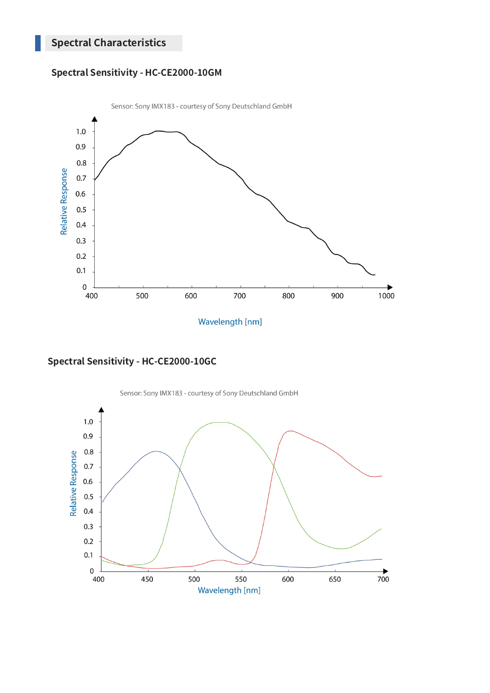## **Spectral Sensitivity - HC-CE2000-10GM**



**Spectral Sensitivity - HC-CE2000-10GC**